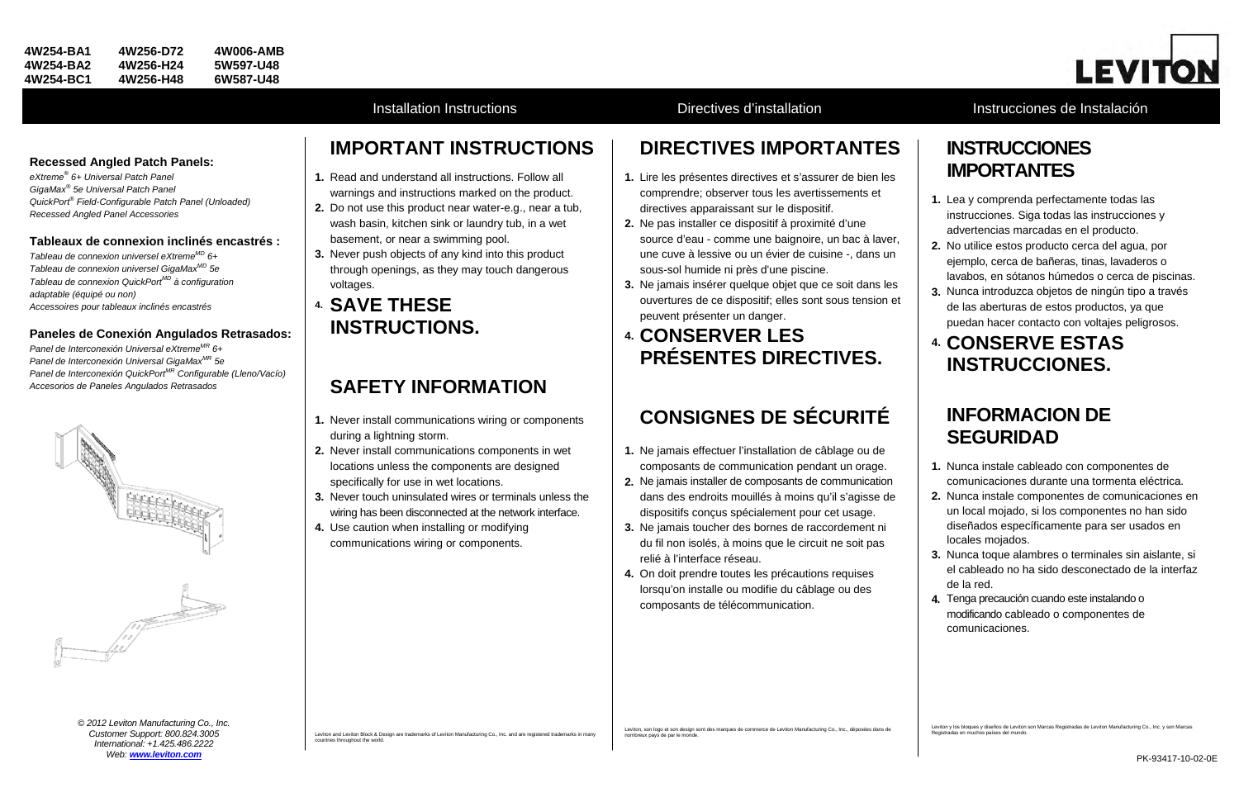### **Recessed Angled Patch Panels:**

*eXtreme® 6+ Universal Patch Panel GigaMax® 5e Universal Patch Panel QuickPort® Field-Configurable Patch Panel (Unloaded) Recessed Angled Panel Accessories*

### **Tableaux de connexion inclinés encastrés :**

*Tableau de connexion universel eXtremeMD 6+ Tableau de connexion universel GigaMaxMD 5e Tableau de connexion QuickPortMD à configuration adaptable (équipé ou non) Accessoires pour tableaux inclinés encastrés*

## **Paneles de Conexión Angulados Retrasados:**

*Panel de Interconexión Universal eXtremeMR 6+ Panel de Interconexión Universal GigaMaxMR 5e Panel de Interconexión QuickPortMR Configurable (Lleno/Vacío) Accesorios de Paneles Angulados Retrasados*



# **IMPORTANT INSTRUCTIONS**

- **1.** Read and understand all instructions. Follow all warnings and instructions marked on the product.
- **2.** Do not use this product near water-e.g., near a tub, wash basin, kitchen sink or laundry tub, in a wet basement, or near a swimming pool.
- **3.** Never push objects of any kind into this product through openings, as they may touch dangerous voltages.

## **4. SAVE THESE INSTRUCTIONS.**

## **SAFETY INFORMATION**

- **1.** Never install communications wiring or components during a lightning storm.
- **2.** Never install communications components in wet locations unless the components are designed specifically for use in wet locations.
- **3.** Never touch uninsulated wires or terminals unless the wiring has been disconnected at the network interface.
- **4.** Use caution when installing or modifying communications wiring or components.

Leviton and Leviton Block & Design are trademarks of Leviton Manufacturing Co., Inc. and are registered trademarks in many countries throughout the world.

## **DIRECTIVES IMPORTANTES**

- **1.** Lire les présentes directives et s'assurer de bien les comprendre; observer tous les avertissements et directives apparaissant sur le dispositif.
- **2.** Ne pas installer ce dispositif à proximité d'une source d'eau - comme une baignoire, un bac à laver, une cuve à lessive ou un évier de cuisine -, dans un sous-sol humide ni près d'une piscine.
- **3.** Ne jamais insérer quelque objet que ce soit dans les ouvertures de ce dispositif; elles sont sous tension et peuvent présenter un danger.

## **4. CONSERVER LES PRÉSENTES DIRECTIVES.**

# **CONSIGNES DE SÉCURITÉ**

- **1.** Ne jamais effectuer l'installation de câblage ou de composants de communication pendant un orage.
- **2.** Ne jamais installer de composants de communication dans des endroits mouillés à moins qu'il s'agisse de dispositifs conçus spécialement pour cet usage.
- **3.** Ne jamais toucher des bornes de raccordement ni du fil non isolés, à moins que le circuit ne soit pas relié à l'interface réseau.
- **4.** On doit prendre toutes les précautions requises lorsqu'on installe ou modifie du câblage ou des composants de télécommunication.

Leviton, son logo et son design sont des marques de commerce de Leviton Manufacturing Co., Inc., déposées dans de nombreux pays de par le monde.



## Installation Instructions **Installation** Directives d'installation **Instrucciones de Instalación**

## **INSTRUCCIONES IMPORTANTES**

- **1.** Lea y comprenda perfectamente todas las instrucciones. Siga todas las instrucciones y advertencias marcadas en el producto.
- **2.** No utilice estos producto cerca del agua, por ejemplo, cerca de bañeras, tinas, lavaderos o lavabos, en sótanos húmedos o cerca de piscinas.
- **3.** Nunca introduzca objetos de ningún tipo a través de las aberturas de estos productos, ya que puedan hacer contacto con voltajes peligrosos.

## **4. CONSERVE ESTAS INSTRUCCIONES.**

## **INFORMACION DE SEGURIDAD**

- **1.** Nunca instale cableado con componentes de comunicaciones durante una tormenta eléctrica.
- **2.** Nunca instale componentes de comunicaciones en un local mojado, si los componentes no han sido diseñados específicamente para ser usados en locales mojados.
- **3.** Nunca toque alambres o terminales sin aislante, si el cableado no ha sido desconectado de la interfaz de la red.
- **4.** Tenga precaución cuando este instalando o modificando cableado o componentes de comunicaciones.

*© 2012 Leviton Manufacturing Co., Inc. Customer Support: 800.824.3005 International: +1.425.486.2222 Web: [www.leviton.com](http://www.leviton.com/)*